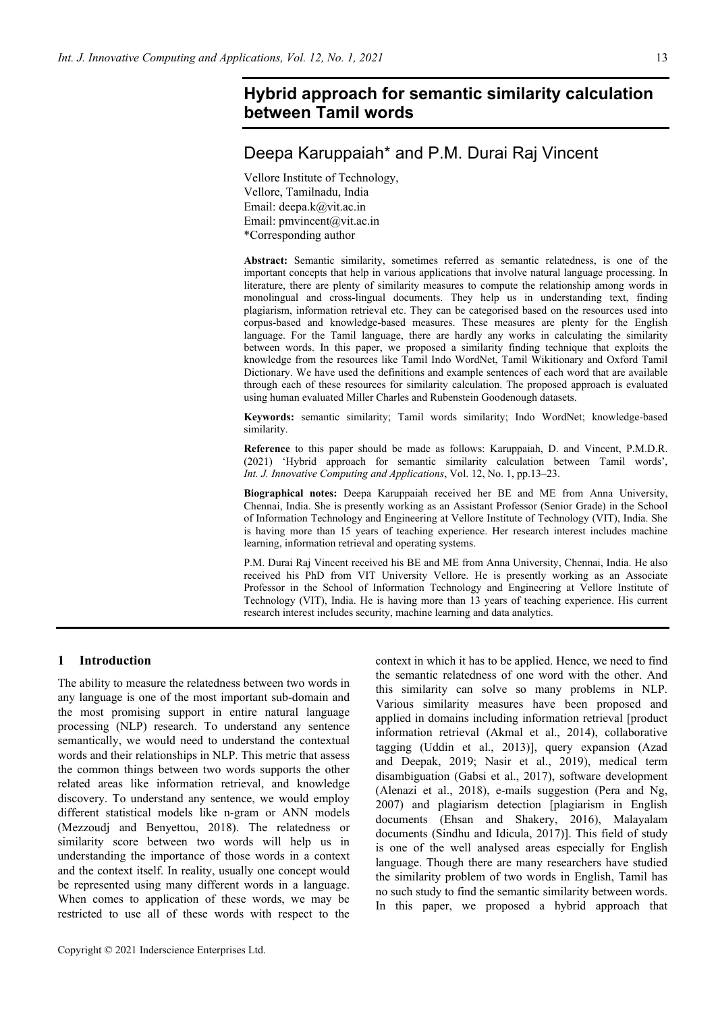# **Hybrid approach for semantic similarity calculation between Tamil words**

# Deepa Karuppaiah\* and P.M. Durai Raj Vincent

Vellore Institute of Technology, Vellore, Tamilnadu, India Email: deepa.k@vit.ac.in Email: pmvincent@vit.ac.in \*Corresponding author

**Abstract:** Semantic similarity, sometimes referred as semantic relatedness, is one of the important concepts that help in various applications that involve natural language processing. In literature, there are plenty of similarity measures to compute the relationship among words in monolingual and cross-lingual documents. They help us in understanding text, finding plagiarism, information retrieval etc. They can be categorised based on the resources used into corpus-based and knowledge-based measures. These measures are plenty for the English language. For the Tamil language, there are hardly any works in calculating the similarity between words. In this paper, we proposed a similarity finding technique that exploits the knowledge from the resources like Tamil Indo WordNet, Tamil Wikitionary and Oxford Tamil Dictionary. We have used the definitions and example sentences of each word that are available through each of these resources for similarity calculation. The proposed approach is evaluated using human evaluated Miller Charles and Rubenstein Goodenough datasets.

**Keywords:** semantic similarity; Tamil words similarity; Indo WordNet; knowledge-based similarity.

**Reference** to this paper should be made as follows: Karuppaiah, D. and Vincent, P.M.D.R. (2021) 'Hybrid approach for semantic similarity calculation between Tamil words', *Int. J. Innovative Computing and Applications*, Vol. 12, No. 1, pp.13–23.

**Biographical notes:** Deepa Karuppaiah received her BE and ME from Anna University, Chennai, India. She is presently working as an Assistant Professor (Senior Grade) in the School of Information Technology and Engineering at Vellore Institute of Technology (VIT), India. She is having more than 15 years of teaching experience. Her research interest includes machine learning, information retrieval and operating systems.

P.M. Durai Raj Vincent received his BE and ME from Anna University, Chennai, India. He also received his PhD from VIT University Vellore. He is presently working as an Associate Professor in the School of Information Technology and Engineering at Vellore Institute of Technology (VIT), India. He is having more than 13 years of teaching experience. His current research interest includes security, machine learning and data analytics.

## **1 Introduction**

The ability to measure the relatedness between two words in any language is one of the most important sub-domain and the most promising support in entire natural language processing (NLP) research. To understand any sentence semantically, we would need to understand the contextual words and their relationships in NLP. This metric that assess the common things between two words supports the other related areas like information retrieval, and knowledge discovery. To understand any sentence, we would employ different statistical models like n-gram or ANN models (Mezzoudj and Benyettou, 2018). The relatedness or similarity score between two words will help us in understanding the importance of those words in a context and the context itself. In reality, usually one concept would be represented using many different words in a language. When comes to application of these words, we may be restricted to use all of these words with respect to the

context in which it has to be applied. Hence, we need to find the semantic relatedness of one word with the other. And this similarity can solve so many problems in NLP. Various similarity measures have been proposed and applied in domains including information retrieval [product information retrieval (Akmal et al., 2014), collaborative tagging (Uddin et al., 2013)], query expansion (Azad and Deepak, 2019; Nasir et al., 2019), medical term disambiguation (Gabsi et al., 2017), software development (Alenazi et al., 2018), e-mails suggestion (Pera and Ng, 2007) and plagiarism detection [plagiarism in English documents (Ehsan and Shakery, 2016), Malayalam documents (Sindhu and Idicula, 2017)]. This field of study is one of the well analysed areas especially for English language. Though there are many researchers have studied the similarity problem of two words in English, Tamil has no such study to find the semantic similarity between words. In this paper, we proposed a hybrid approach that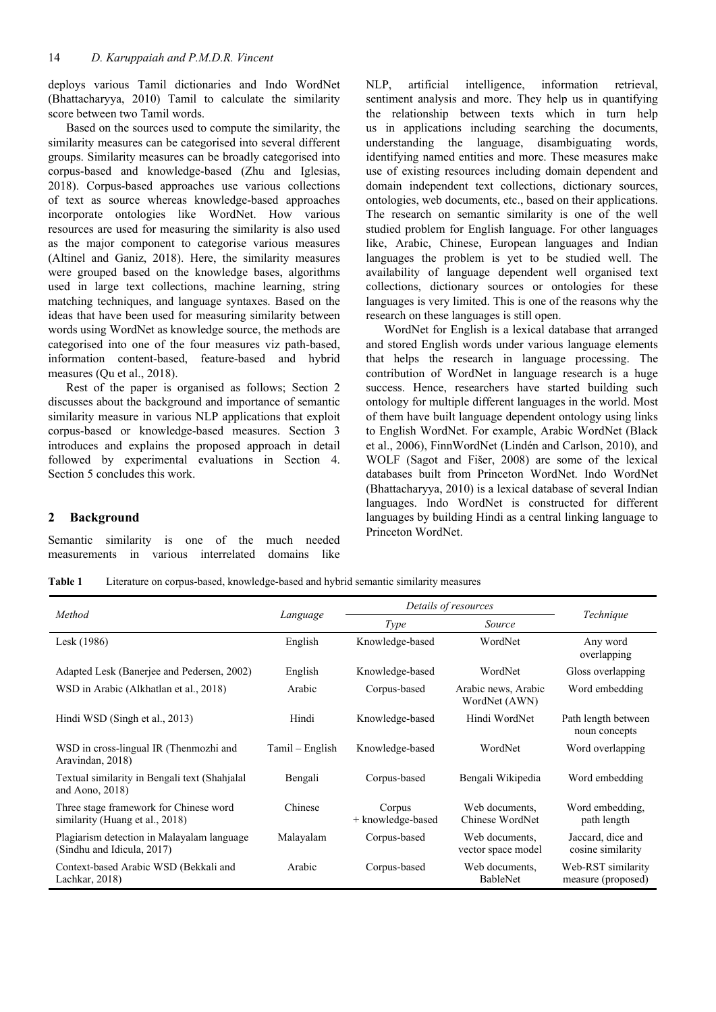deploys various Tamil dictionaries and Indo WordNet (Bhattacharyya, 2010) Tamil to calculate the similarity score between two Tamil words.

Based on the sources used to compute the similarity, the similarity measures can be categorised into several different groups. Similarity measures can be broadly categorised into corpus-based and knowledge-based (Zhu and Iglesias, 2018). Corpus-based approaches use various collections of text as source whereas knowledge-based approaches incorporate ontologies like WordNet. How various resources are used for measuring the similarity is also used as the major component to categorise various measures (Altinel and Ganiz, 2018). Here, the similarity measures were grouped based on the knowledge bases, algorithms used in large text collections, machine learning, string matching techniques, and language syntaxes. Based on the ideas that have been used for measuring similarity between words using WordNet as knowledge source, the methods are categorised into one of the four measures viz path-based, information content-based, feature-based and hybrid measures (Qu et al., 2018).

Rest of the paper is organised as follows; Section 2 discusses about the background and importance of semantic similarity measure in various NLP applications that exploit corpus-based or knowledge-based measures. Section 3 introduces and explains the proposed approach in detail followed by experimental evaluations in Section 4. Section 5 concludes this work.

NLP, artificial intelligence, information retrieval, sentiment analysis and more. They help us in quantifying the relationship between texts which in turn help us in applications including searching the documents, understanding the language, disambiguating words, identifying named entities and more. These measures make use of existing resources including domain dependent and domain independent text collections, dictionary sources, ontologies, web documents, etc., based on their applications. The research on semantic similarity is one of the well studied problem for English language. For other languages like, Arabic, Chinese, European languages and Indian languages the problem is yet to be studied well. The availability of language dependent well organised text collections, dictionary sources or ontologies for these languages is very limited. This is one of the reasons why the research on these languages is still open.

WordNet for English is a lexical database that arranged and stored English words under various language elements that helps the research in language processing. The contribution of WordNet in language research is a huge success. Hence, researchers have started building such ontology for multiple different languages in the world. Most of them have built language dependent ontology using links to English WordNet. For example, Arabic WordNet (Black et al., 2006), FinnWordNet (Lindén and Carlson, 2010), and WOLF (Sagot and Fišer, 2008) are some of the lexical databases built from Princeton WordNet. Indo WordNet (Bhattacharyya, 2010) is a lexical database of several Indian languages. Indo WordNet is constructed for different languages by building Hindi as a central linking language to Princeton WordNet.

# **2 Background**

Semantic similarity is one of the much needed measurements in various interrelated domains like

**Table 1** Literature on corpus-based, knowledge-based and hybrid semantic similarity measures

|                                                                           |                 | Details of resources        |                                      |                                          |  |
|---------------------------------------------------------------------------|-----------------|-----------------------------|--------------------------------------|------------------------------------------|--|
| Method                                                                    | Language        | Type                        | Source                               | Technique                                |  |
| Lesk (1986)                                                               | English         | Knowledge-based             | WordNet                              | Any word<br>overlapping                  |  |
| Adapted Lesk (Banerjee and Pedersen, 2002)                                | English         | Knowledge-based             | WordNet                              | Gloss overlapping                        |  |
| WSD in Arabic (Alkhatlan et al., 2018)                                    | Arabic          | Corpus-based                | Arabic news, Arabic<br>WordNet (AWN) | Word embedding                           |  |
| Hindi WSD (Singh et al., 2013)                                            | Hindi           | Knowledge-based             | Hindi WordNet                        | Path length between<br>noun concepts     |  |
| WSD in cross-lingual IR (Thenmozhi and<br>Aravindan, 2018)                | Tamil – English | Knowledge-based             | WordNet                              | Word overlapping                         |  |
| Textual similarity in Bengali text (Shahjalal<br>and Aono, $2018$ )       | Bengali         | Corpus-based                | Bengali Wikipedia                    | Word embedding                           |  |
| Three stage framework for Chinese word<br>similarity (Huang et al., 2018) | Chinese         | Corpus<br>+ knowledge-based | Web documents,<br>Chinese WordNet    | Word embedding,<br>path length           |  |
| Plagiarism detection in Malayalam language<br>(Sindhu and Idicula, 2017)  | Malayalam       | Corpus-based                | Web documents,<br>vector space model | Jaccard, dice and<br>cosine similarity   |  |
| Context-based Arabic WSD (Bekkali and<br>Lachkar, 2018)                   | Arabic          | Corpus-based                | Web documents.<br><b>BableNet</b>    | Web-RST similarity<br>measure (proposed) |  |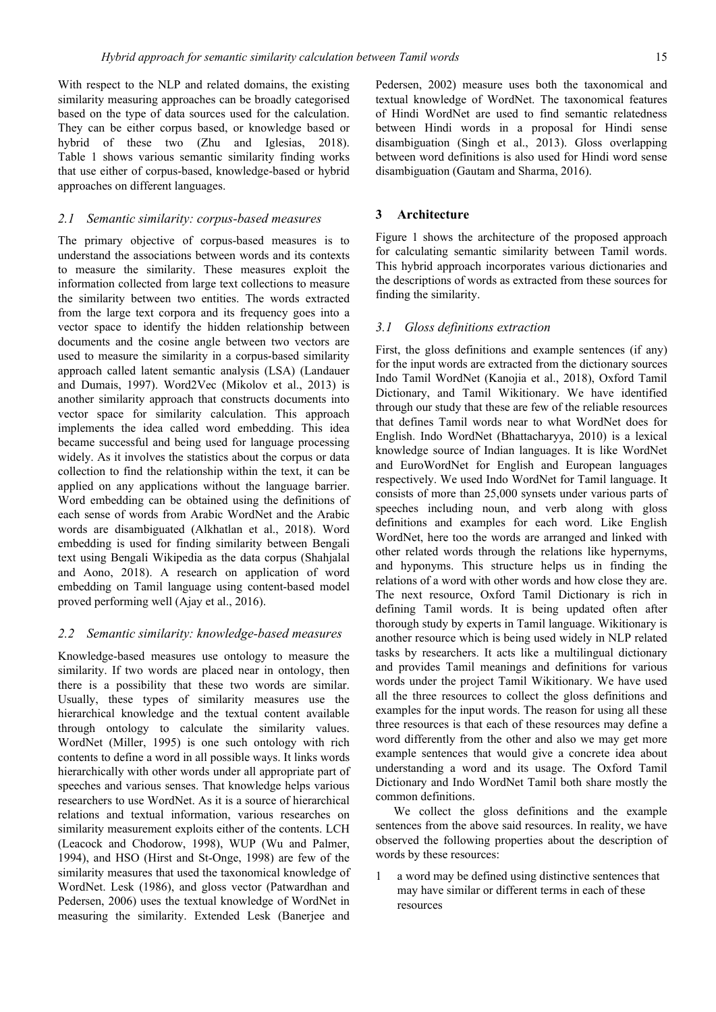With respect to the NLP and related domains, the existing similarity measuring approaches can be broadly categorised based on the type of data sources used for the calculation. They can be either corpus based, or knowledge based or hybrid of these two (Zhu and Iglesias, 2018). Table 1 shows various semantic similarity finding works that use either of corpus-based, knowledge-based or hybrid approaches on different languages.

#### *2.1 Semantic similarity: corpus-based measures*

The primary objective of corpus-based measures is to understand the associations between words and its contexts to measure the similarity. These measures exploit the information collected from large text collections to measure the similarity between two entities. The words extracted from the large text corpora and its frequency goes into a vector space to identify the hidden relationship between documents and the cosine angle between two vectors are used to measure the similarity in a corpus-based similarity approach called latent semantic analysis (LSA) (Landauer and Dumais, 1997). Word2Vec (Mikolov et al., 2013) is another similarity approach that constructs documents into vector space for similarity calculation. This approach implements the idea called word embedding. This idea became successful and being used for language processing widely. As it involves the statistics about the corpus or data collection to find the relationship within the text, it can be applied on any applications without the language barrier. Word embedding can be obtained using the definitions of each sense of words from Arabic WordNet and the Arabic words are disambiguated (Alkhatlan et al., 2018). Word embedding is used for finding similarity between Bengali text using Bengali Wikipedia as the data corpus (Shahjalal and Aono, 2018). A research on application of word embedding on Tamil language using content-based model proved performing well (Ajay et al., 2016).

#### *2.2 Semantic similarity: knowledge-based measures*

Knowledge-based measures use ontology to measure the similarity. If two words are placed near in ontology, then there is a possibility that these two words are similar. Usually, these types of similarity measures use the hierarchical knowledge and the textual content available through ontology to calculate the similarity values. WordNet (Miller, 1995) is one such ontology with rich contents to define a word in all possible ways. It links words hierarchically with other words under all appropriate part of speeches and various senses. That knowledge helps various researchers to use WordNet. As it is a source of hierarchical relations and textual information, various researches on similarity measurement exploits either of the contents. LCH (Leacock and Chodorow, 1998), WUP (Wu and Palmer, 1994), and HSO (Hirst and St-Onge, 1998) are few of the similarity measures that used the taxonomical knowledge of WordNet. Lesk (1986), and gloss vector (Patwardhan and Pedersen, 2006) uses the textual knowledge of WordNet in measuring the similarity. Extended Lesk (Banerjee and

Pedersen, 2002) measure uses both the taxonomical and textual knowledge of WordNet. The taxonomical features of Hindi WordNet are used to find semantic relatedness between Hindi words in a proposal for Hindi sense disambiguation (Singh et al., 2013). Gloss overlapping between word definitions is also used for Hindi word sense disambiguation (Gautam and Sharma, 2016).

#### **3 Architecture**

Figure 1 shows the architecture of the proposed approach for calculating semantic similarity between Tamil words. This hybrid approach incorporates various dictionaries and the descriptions of words as extracted from these sources for finding the similarity.

#### *3.1 Gloss definitions extraction*

First, the gloss definitions and example sentences (if any) for the input words are extracted from the dictionary sources Indo Tamil WordNet (Kanojia et al., 2018), Oxford Tamil Dictionary, and Tamil Wikitionary. We have identified through our study that these are few of the reliable resources that defines Tamil words near to what WordNet does for English. Indo WordNet (Bhattacharyya, 2010) is a lexical knowledge source of Indian languages. It is like WordNet and EuroWordNet for English and European languages respectively. We used Indo WordNet for Tamil language. It consists of more than 25,000 synsets under various parts of speeches including noun, and verb along with gloss definitions and examples for each word. Like English WordNet, here too the words are arranged and linked with other related words through the relations like hypernyms, and hyponyms. This structure helps us in finding the relations of a word with other words and how close they are. The next resource, Oxford Tamil Dictionary is rich in defining Tamil words. It is being updated often after thorough study by experts in Tamil language. Wikitionary is another resource which is being used widely in NLP related tasks by researchers. It acts like a multilingual dictionary and provides Tamil meanings and definitions for various words under the project Tamil Wikitionary. We have used all the three resources to collect the gloss definitions and examples for the input words. The reason for using all these three resources is that each of these resources may define a word differently from the other and also we may get more example sentences that would give a concrete idea about understanding a word and its usage. The Oxford Tamil Dictionary and Indo WordNet Tamil both share mostly the common definitions.

We collect the gloss definitions and the example sentences from the above said resources. In reality, we have observed the following properties about the description of words by these resources:

a word may be defined using distinctive sentences that may have similar or different terms in each of these resources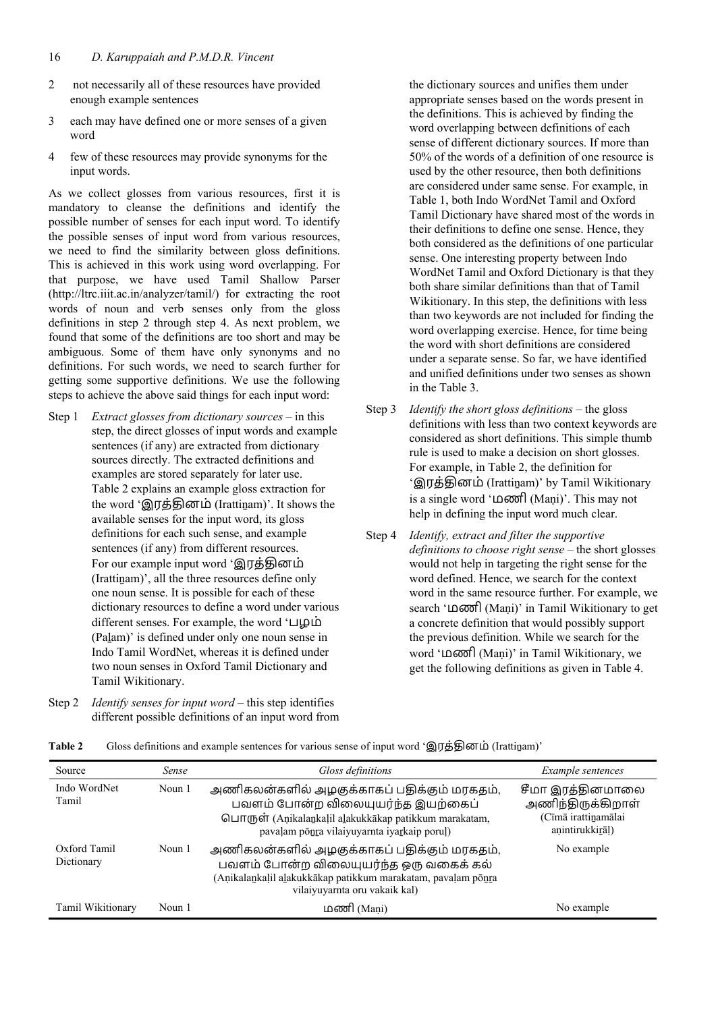- 2 not necessarily all of these resources have provided enough example sentences
- 3 each may have defined one or more senses of a given word
- 4 few of these resources may provide synonyms for the input words.

As we collect glosses from various resources, first it is mandatory to cleanse the definitions and identify the possible number of senses for each input word. To identify the possible senses of input word from various resources, we need to find the similarity between gloss definitions. This is achieved in this work using word overlapping. For that purpose, we have used Tamil Shallow Parser (http://ltrc.iiit.ac.in/analyzer/tamil/) for extracting the root words of noun and verb senses only from the gloss definitions in step 2 through step 4. As next problem, we found that some of the definitions are too short and may be ambiguous. Some of them have only synonyms and no definitions. For such words, we need to search further for getting some supportive definitions. We use the following steps to achieve the above said things for each input word:

- Step 1 *Extract glosses from dictionary sources* in this step, the direct glosses of input words and example sentences (if any) are extracted from dictionary sources directly. The extracted definitions and examples are stored separately for later use. Table 2 explains an example gloss extraction for the word 'இரத்தினம் (Irattinam)'. It shows the available senses for the input word, its gloss definitions for each such sense, and example sentences (if any) from different resources. For our example input word 'இரக்கினம் (Irattinam)', all the three resources define only one noun sense. It is possible for each of these dictionary resources to define a word under various different senses. For example, the word 'பழம் (Palam)' is defined under only one noun sense in Indo Tamil WordNet, whereas it is defined under two noun senses in Oxford Tamil Dictionary and Tamil Wikitionary.
- Step 2 *Identify senses for input word* this step identifies different possible definitions of an input word from

the dictionary sources and unifies them under appropriate senses based on the words present in the definitions. This is achieved by finding the word overlapping between definitions of each sense of different dictionary sources. If more than 50% of the words of a definition of one resource is used by the other resource, then both definitions are considered under same sense. For example, in Table 1, both Indo WordNet Tamil and Oxford Tamil Dictionary have shared most of the words in their definitions to define one sense. Hence, they both considered as the definitions of one particular sense. One interesting property between Indo WordNet Tamil and Oxford Dictionary is that they both share similar definitions than that of Tamil Wikitionary. In this step, the definitions with less than two keywords are not included for finding the word overlapping exercise. Hence, for time being the word with short definitions are considered under a separate sense. So far, we have identified and unified definitions under two senses as shown in the Table 3.

- Step 3 *Identify the short gloss definitions* the gloss definitions with less than two context keywords are considered as short definitions. This simple thumb rule is used to make a decision on short glosses. For example, in Table 2, the definition for 'இரக்கினம் (Irattinam)' by Tamil Wikitionary is a single word 'மணி (Maṇi)'. This may not help in defining the input word much clear.
- Step 4 *Identify, extract and filter the supportive definitions to choose right sense –* the short glosses would not help in targeting the right sense for the word defined. Hence, we search for the context word in the same resource further. For example, we search 'மணி (Maṇi)' in Tamil Wikitionary to get a concrete definition that would possibly support the previous definition. While we search for the word 'மணி (Maṇi)' in Tamil Wikitionary, we get the following definitions as given in Table 4.

| Source                     | Sense  | Gloss definitions                                                                                                                                                                                | Example sentences                                                               |
|----------------------------|--------|--------------------------------------------------------------------------------------------------------------------------------------------------------------------------------------------------|---------------------------------------------------------------------------------|
| Indo WordNet<br>Tamil      | Noun 1 | அணிகலன்களில் அழகுக்காகப் பதிக்கும் மரகதம்,<br>பவளம் போன்ற விலையுயர்ந்த இயற்கைப்<br><b>©⊔п</b> (ҧѳт (Anikalankaļil alakukkākap patikkum marakatam,<br>pavaļam poņra vilaiyuyarnta iyarkaip poruļ) | சீமா இரத்தினமாலை<br>அணிந்திருக்கிறாள்<br>(Cīmā irattinamālai<br>anintirukkirāl) |
| Oxford Tamil<br>Dictionary | Noun 1 | அணிகலன்களில் அழகுக்காகப் பதிக்கும் மரகதம்,<br>பவளம் போன்ற விலையுயர்ந்த ஒரு வகைக் கல்<br>(Anikalankalil alakukkākap patikkum marakatam, pavaļam pōnra<br>vilaiyuyarnta oru vakaik kal)            | No example                                                                      |

Tamil Wikitionary Noun 1 மணி (Maṇi) பணி (Maṇi) No example

**Table 2** Gloss definitions and example sentences for various sense of input word 'இரக்கினம் (Irattinam)'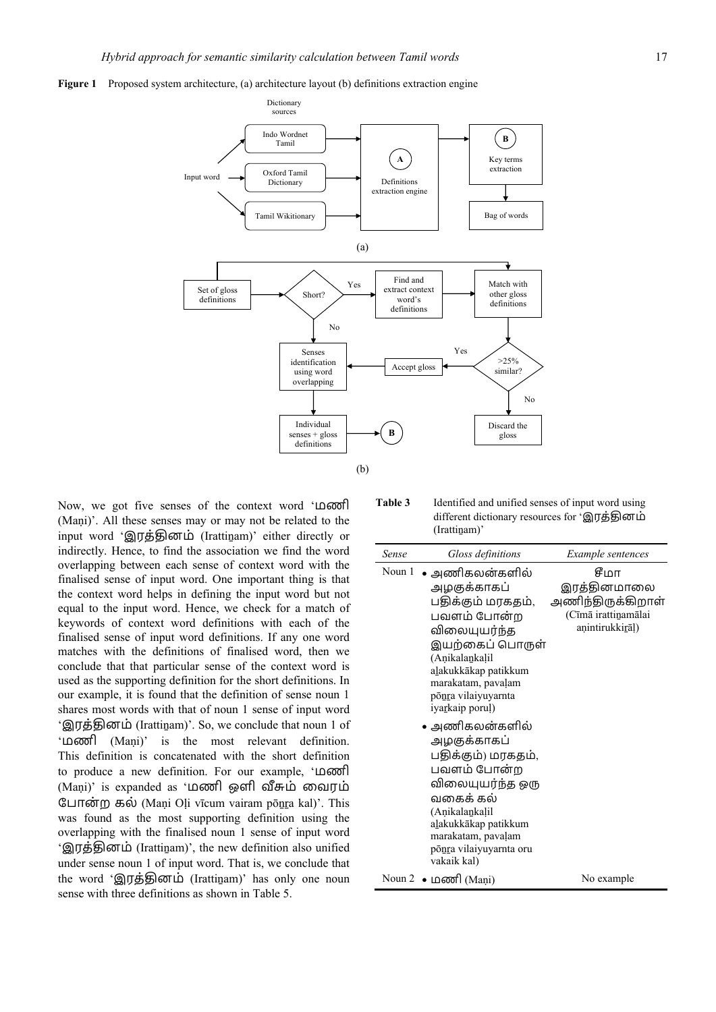



Now, we got five senses of the context word 'மணி (Maṇi)'. All these senses may or may not be related to the input word 'இரத்தினம் (Irattinam)' either directly or indirectly. Hence, to find the association we find the word overlapping between each sense of context word with the finalised sense of input word. One important thing is that the context word helps in defining the input word but not equal to the input word. Hence, we check for a match of keywords of context word definitions with each of the finalised sense of input word definitions. If any one word matches with the definitions of finalised word, then we conclude that that particular sense of the context word is used as the supporting definition for the short definitions. In our example, it is found that the definition of sense noun 1 shares most words with that of noun 1 sense of input word 'இரத்தினம் (Irattinam)'. So, we conclude that noun 1 of 'மணி (Maṇi)' is the most relevant definition. This definition is concatenated with the short definition to produce a new definition. For our example, 'மணி (Maṇi)' is expanded as 'மணி ஒளி வீசும் வைரம் ேபான்ற கல் (Maṇi Oḷi vīcum vairam pōṉṟa kal)'. This was found as the most supporting definition using the overlapping with the finalised noun 1 sense of input word 'இரத்தினம் (Irattinam)', the new definition also unified under sense noun 1 of input word. That is, we conclude that the word 'இரத்தினம் (Irattinam)' has only one noun sense with three definitions as shown in Table 5.

**Table 3** Identified and unified senses of input word using different dictionary resources for 'இரத்தினம் (Irattinam)'

| Sense  | Gloss definitions                                                                                                                                                                                                                                                                                                                                                                                                                               | Example sentences                                                                  |
|--------|-------------------------------------------------------------------------------------------------------------------------------------------------------------------------------------------------------------------------------------------------------------------------------------------------------------------------------------------------------------------------------------------------------------------------------------------------|------------------------------------------------------------------------------------|
| Noun 1 | • அணிகலன்களில்<br>அழகுக்காகப்<br>பதிக்கும் மரகதம்,<br>பவளம் போன்ற<br>விலையுயர்ந்த<br>இயற்கைப் பொருள்<br>(Anikalankalil<br>alakukkākap patikkum<br>marakatam, pavaļam<br>ponra vilaiyuyarnta<br><i>iyarkaip</i> porul)<br>• அணிகலன்களில்<br>அழகுக்காகப்<br>பதிக்கும்) மரகதம்,<br>பவளம் போன்ற<br>விலையுயர்ந்த ஒரு<br>வகைக் கல்<br>(Anikalankalil<br>a <u>l</u> akukkākap patikkum<br>marakatam, pavaļam<br>põnra vilaiyuyarnta oru<br>vakaik kal) | சீமா<br>இரத்தினமாலை<br>அணிந்திருக்கிறாள்<br>(Cīmā irattinamālai<br>anintirukkirāl) |
|        | Noun $2 \bullet$ <b>Let not</b> (Mani)                                                                                                                                                                                                                                                                                                                                                                                                          | No example                                                                         |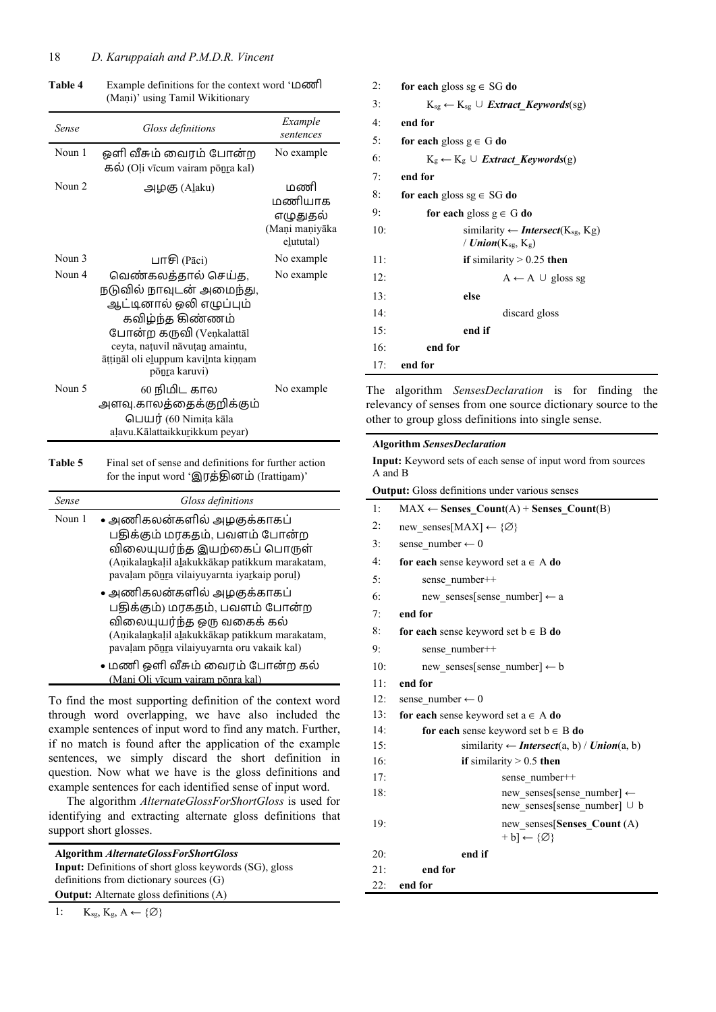| Sense    | Gloss definitions                                                                                                                                                                                                     | Example<br>sentences                                     |
|----------|-----------------------------------------------------------------------------------------------------------------------------------------------------------------------------------------------------------------------|----------------------------------------------------------|
| Noun 1   | ஒளி வீசும் வைரம் போன்ற<br>கல் (Oļi vīcum vairam ponra kal)                                                                                                                                                            | No example                                               |
| Noun $2$ | அழகு (A <u>l</u> aku)                                                                                                                                                                                                 | மணி<br>மணியாக<br>எழுதுதல்<br>(Maņi maņiyāka<br>elututal) |
| Noun 3   | பாசி (Pāci)                                                                                                                                                                                                           | No example                                               |
| Noun 4   | வெண்கலத்தால் செய்த,<br>நடுவில் நாவுடன் அமைந்து,<br>ஆட்டினால் ஒலி எழுப்பும்<br>கவிழ்ந்த கிண்ணம்<br>போன்ற கருவி (Venkalattāl<br>ceyta, natuvil nāvutan amaintu,<br>āttināl oli eluppum kavilnta kiņņam<br>põnra karuvi) | No example                                               |
| Noun 5   | 60 நிமிட கால<br>அளவு.காலத்தைக்குறிக்கும்<br>பெயர் (60 Nimiṭa kāla<br>aļavu.Kālattaikkurikkum peyar)                                                                                                                   | No example                                               |

**Table 4** Example definitions for the context word 'மணி (Mani)' using Tamil Wikitionary

**Table 5** Final set of sense and definitions for further action for the input word 'இரத்தினம் (Irattinam)'

| <b>Sense</b> | Gloss definitions                                                                                                                                                                            |
|--------------|----------------------------------------------------------------------------------------------------------------------------------------------------------------------------------------------|
| Noun 1       | • அணிகலன்களில் அழகுக்காகப்<br>பதிக்கும் மரகதம், பவளம் போன்ற<br>விலையுயர்ந்த இயற்கைப் பொருள்<br>(Anikalankalil alakukkākap patikkum marakatam,<br>pavaļam poņra vilaiyuyarnta iyarkaip poruļ) |
|              | • அணிகலன்களில் அழகுக்காகப்<br>பதிக்கும்) மரகதம், பவளம் போன்ற<br>விலையுயர்ந்த ஒரு வகைக் கல்<br>(Aņikalankaļil alakukkākap patikkum marakatam,<br>pavaļam poņra vilaiyuyarnta oru vakaik kal)  |
|              | • மணி ஒளி வீசும் வைரம் போன்ற கல்<br>(Mani Oli vīcum vairam pōnra kal)                                                                                                                        |

To find the most supporting definition of the context word through word overlapping, we have also included the example sentences of input word to find any match. Further, if no match is found after the application of the example sentences, we simply discard the short definition in question. Now what we have is the gloss definitions and example sentences for each identified sense of input word.

The algorithm *AlternateGlossForShortGloss* is used for identifying and extracting alternate gloss definitions that support short glosses.

| <b>Algorithm AlternateGlossForShortGloss</b>                  |  |  |  |
|---------------------------------------------------------------|--|--|--|
| <b>Input:</b> Definitions of short gloss keywords (SG), gloss |  |  |  |
| definitions from dictionary sources $(G)$                     |  |  |  |
| <b>Output:</b> Alternate gloss definitions (A)                |  |  |  |
|                                                               |  |  |  |

| 2:  | for each gloss $sg \in SG$ do                                   |
|-----|-----------------------------------------------------------------|
| 3:  | $K_{sg} \leftarrow K_{sg} \cup$ <i>Extract_Keywords</i> (sg)    |
| 4:  | end for                                                         |
| 5:  | for each gloss $g \in G$ do                                     |
| 6:  | $K_g \leftarrow K_g \cup Extract\; Kevwords(g)$                 |
| 7:  | end for                                                         |
| 8:  | for each gloss sg $\in$ SG do                                   |
| 9:  | for each gloss $g \in G$ do                                     |
| 10: | similarity $\leftarrow$ <b>Intersect</b> (K <sub>sg</sub> , Kg) |
|     | / $Union(K_{sg}, K_g)$                                          |
| 11: | if similarity $> 0.25$ then                                     |
| 12: | $A \leftarrow A \cup$ gloss sg                                  |
| 13: | else                                                            |
| 14: | discard gloss                                                   |
| 15: | end if                                                          |
| 16: | end for                                                         |
| 17: | end for                                                         |

The algorithm *SensesDeclaration* is for finding the relevancy of senses from one source dictionary source to the other to group gloss definitions into single sense.

# **Algorithm** *SensesDeclaration*

**Input:** Keyword sets of each sense of input word from sources A and B

**Output:** Gloss definitions under various senses

| 1:  | $MAX \leftarrow$ Senses_Count(A) + Senses_Count(B)                           |
|-----|------------------------------------------------------------------------------|
| 2:  | new senses[MAX] $\leftarrow \{\emptyset\}$                                   |
| 3:  | sense number $\leftarrow 0$                                                  |
| 4:  | for each sense keyword set $a \in A$ do                                      |
| 5:  | sense number++                                                               |
| 6:  | new senses[sense number] $\leftarrow$ a                                      |
| 7:  | end for                                                                      |
| 8:  | for each sense keyword set $b \in B$ do                                      |
| 9:  | sense number++                                                               |
| 10: | new senses[sense number] $\leftarrow$ b                                      |
| 11: | end for                                                                      |
| 12: | sense number $\leftarrow 0$                                                  |
| 13: | for each sense keyword set $a \in A$ do                                      |
| 14: | for each sense keyword set $b \in B$ do                                      |
| 15: | similarity $\leftarrow$ <b>Intersect</b> (a, b) / <b><i>Union</i></b> (a, b) |
| 16: | if similarity $> 0.5$ then                                                   |
| 17: | sense number++                                                               |
| 18: | new senses[sense number] $\leftarrow$                                        |
|     | new senses[sense number] ∪ b                                                 |
| 19: | new senses[Senses Count (A)                                                  |
|     | $+ b$ ] $\leftarrow$ {Ø}                                                     |
| 20: | end if                                                                       |
| 21: | end for                                                                      |
| 22: | end for                                                                      |
|     |                                                                              |

1:  $K_{sg}, K_g, A \leftarrow \{\emptyset\}$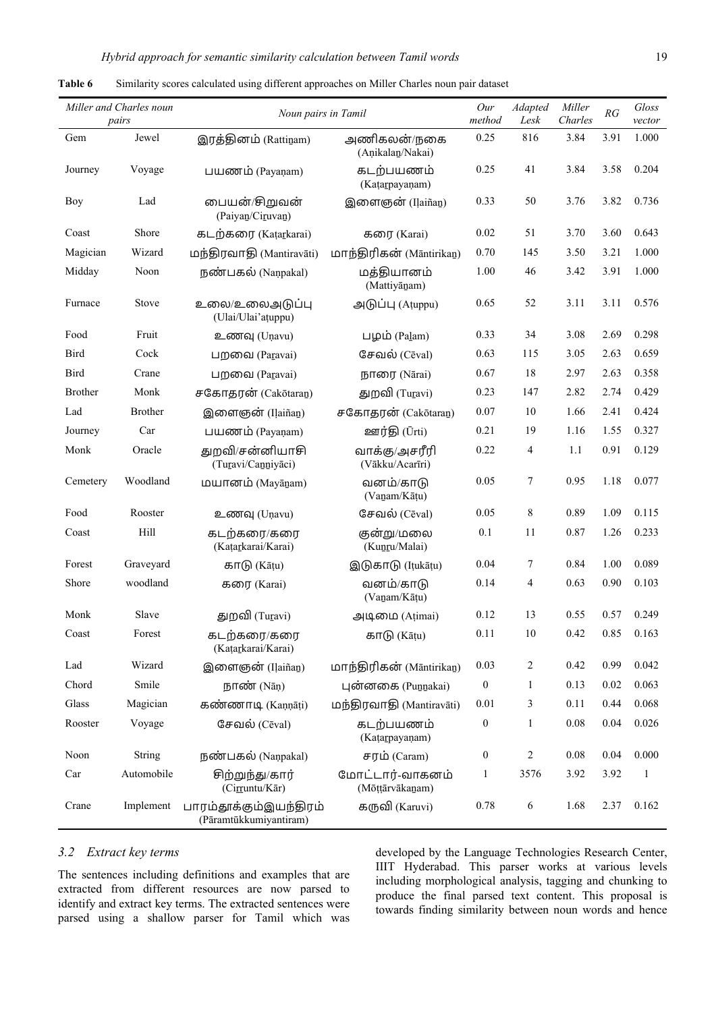| Miller and Charles noun<br>Noun pairs in Tamil<br>pairs |                |                                                  | Our<br>method                      | Adapted<br>Lesk  | Miller<br>Charles | RG   | Gloss<br>vector |       |
|---------------------------------------------------------|----------------|--------------------------------------------------|------------------------------------|------------------|-------------------|------|-----------------|-------|
| Gem                                                     | Jewel          | இரத்தினம் (Rattinam)                             | அணிகலன்/நகை<br>(Anikalan/Nakai)    | 0.25             | 816               | 3.84 | 3.91            | 1.000 |
| Journey                                                 | Voyage         | பயணம் (Payanam)                                  | கடற்பயணம்<br>(Katarpayanam)        | 0.25             | 41                | 3.84 | 3.58            | 0.204 |
| <b>Boy</b>                                              | Lad            | பையன்/சிறுவன்<br>(Paiyan/Ciruvan)                | இளைஞன் (Ilaiñan)                   | 0.33             | 50                | 3.76 | 3.82            | 0.736 |
| Coast                                                   | Shore          | கடற்கரை (Katarkarai)                             | கரை (Karai)                        | 0.02             | 51                | 3.70 | 3.60            | 0.643 |
| Magician                                                | Wizard         | மந்திரவாதி (Mantiravāti)                         | மாந்திரிகன் (Māntirikan)           | 0.70             | 145               | 3.50 | 3.21            | 1.000 |
| Midday                                                  | Noon           | நண்பகல் (Nanpakal)                               | மத்தியானம்<br>(Mattiyānam)         | 1.00             | 46                | 3.42 | 3.91            | 1.000 |
| Furnace                                                 | Stove          | உலை/உலைஅடுப்பு<br>(Ulai/Ulai'atuppu)             | அடுப்பு (Atuppu)                   | 0.65             | 52                | 3.11 | 3.11            | 0.576 |
| Food                                                    | Fruit          | உணவு (Unavu)                                     | பழம் (Palam)                       | 0.33             | 34                | 3.08 | 2.69            | 0.298 |
| <b>Bird</b>                                             | Cock           | பறவை (Paravai)                                   | சேவல் (Cēval)                      | 0.63             | 115               | 3.05 | 2.63            | 0.659 |
| <b>Bird</b>                                             | Crane          | பறவை (Paravai)                                   | நாரை (Nārai)                       | 0.67             | 18                | 2.97 | 2.63            | 0.358 |
| <b>Brother</b>                                          | Monk           | சகோதரன் (Cakōtaran)                              | துறவி (Turavi)                     | 0.23             | 147               | 2.82 | 2.74            | 0.429 |
| Lad                                                     | <b>Brother</b> | இளைஞன் (Ilaiñan)                                 | சகோதரன் (Cakōtaran)                | 0.07             | 10                | 1.66 | 2.41            | 0.424 |
| Journey                                                 | Car            | பயணம் (Payanam)                                  | ஊர்தி (Ūrti)                       | 0.21             | 19                | 1.16 | 1.55            | 0.327 |
| Monk                                                    | Oracle         | துறவி/சன்னியாசி<br>(Turavi/Canniyāci)            | வாக்கு/அசரீரி<br>(Vākku/Acarīri)   | 0.22             | 4                 | 1.1  | 0.91            | 0.129 |
| Cemetery                                                | Woodland       | மயானம் (Mayānam)                                 | வனம்/காடு<br>(Vanam/Kāțu)          | 0.05             | 7                 | 0.95 | 1.18            | 0.077 |
| Food                                                    | Rooster        | உணவு (Unavu)                                     | சேவல் (Cēval)                      | 0.05             | 8                 | 0.89 | 1.09            | 0.115 |
| Coast                                                   | Hill           | கடற்கரை/கரை<br>(Katarkarai/Karai)                | குன்று/மலை<br>(Kunru/Malai)        | 0.1              | 11                | 0.87 | 1.26            | 0.233 |
| Forest                                                  | Graveyard      | காடு (Kāṭu)                                      | இடுகாடு (Itukātu)                  | 0.04             | 7                 | 0.84 | 1.00            | 0.089 |
| Shore                                                   | woodland       | கரை (Karai)                                      | வனம்/காடு<br>(Vanam/Kāțu)          | 0.14             | 4                 | 0.63 | 0.90            | 0.103 |
| Monk                                                    | Slave          | துறவி (Turavi)                                   | அடிமை (Atimai)                     | 0.12             | 13                | 0.55 | 0.57            | 0.249 |
| Coast                                                   | Forest         | கடற்கரை/கரை<br>(Katarkarai/Karai)                | காடு (Kāṭu)                        | 0.11             | 10                | 0.42 | 0.85            | 0.163 |
| Lad                                                     | Wizard         | இளைஞன் (Ilaiñan)                                 | மாந்திரிகன் (Māntirikan)           | 0.03             | 2                 | 0.42 | 0.99            | 0.042 |
| Chord                                                   | Smile          | $I\!$ Гобот (Nan)                                | புன்னகை (Punnakai)                 | $\boldsymbol{0}$ | 1                 | 0.13 | 0.02            | 0.063 |
| Glass                                                   | Magician       | கண்ணாடி (Kannāti)                                | மந்திரவாதி (Mantiravāti)           | 0.01             | 3                 | 0.11 | 0.44            | 0.068 |
| Rooster                                                 | Voyage         | சேவல் (Cēval)                                    | கடற்பயணம்<br>(Katarpayanam)        | $\boldsymbol{0}$ | $\mathbf{1}$      | 0.08 | 0.04            | 0.026 |
| Noon                                                    | String         | நண்பகல் (Nanpakal)                               | சரம் (Caram)                       | $\boldsymbol{0}$ | 2                 | 0.08 | 0.04            | 0.000 |
| Car                                                     | Automobile     | சிற்றுந்து/கார்<br>(Cirruntu/Kār)                | மோட்டார்-வாகனம்<br>(Mōṭṭārvākanam) | $\mathbf{1}$     | 3576              | 3.92 | 3.92            | 1     |
| Crane                                                   | Implement      | பாரம்தாக்கும்இயந்திரம்<br>(Pāramtūkkumiyantiram) | கருவி (Karuvi)                     | 0.78             | 6                 | 1.68 | 2.37            | 0.162 |

| Table 6 |  |  |  | Similarity scores calculated using different approaches on Miller Charles noun pair dataset |  |
|---------|--|--|--|---------------------------------------------------------------------------------------------|--|
|---------|--|--|--|---------------------------------------------------------------------------------------------|--|

# *3.2 Extract key terms*

The sentences including definitions and examples that are extracted from different resources are now parsed to identify and extract key terms. The extracted sentences were parsed using a shallow parser for Tamil which was developed by the Language Technologies Research Center, IIIT Hyderabad. This parser works at various levels including morphological analysis, tagging and chunking to produce the final parsed text content. This proposal is towards finding similarity between noun words and hence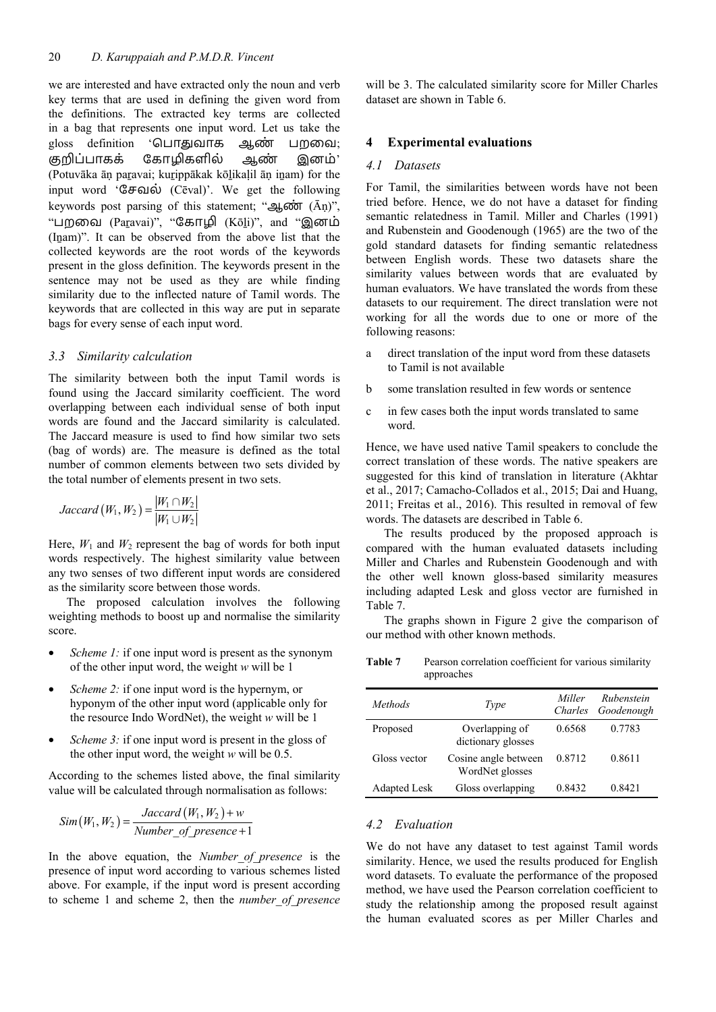we are interested and have extracted only the noun and verb key terms that are used in defining the given word from the definitions. The extracted key terms are collected in a bag that represents one input word. Let us take the gloss definition 'பொதுவாக ஆண் பறவை; குறிப்பாகக் கோழிகளில் ஆண் இனம்' (Potuvāka āṇ paṟavai; kuṟippākak kōḻikaḷil āṇ iṉam) for the input word 'ேசவல் (Cēval)'. We get the following keywords post parsing of this statement; "ஆண் (Ān)", "பறவை (Paravai)", "கோழி (Kōli)", and "இனம் (Inam)". It can be observed from the above list that the collected keywords are the root words of the keywords present in the gloss definition. The keywords present in the sentence may not be used as they are while finding similarity due to the inflected nature of Tamil words. The keywords that are collected in this way are put in separate bags for every sense of each input word.

## *3.3 Similarity calculation*

The similarity between both the input Tamil words is found using the Jaccard similarity coefficient. The word overlapping between each individual sense of both input words are found and the Jaccard similarity is calculated. The Jaccard measure is used to find how similar two sets (bag of words) are. The measure is defined as the total number of common elements between two sets divided by the total number of elements present in two sets.

$$
Jaccard (W_1, W_2) = \frac{|W_1 \cap W_2|}{|W_1 \cup W_2|}
$$

Here,  $W_1$  and  $W_2$  represent the bag of words for both input words respectively. The highest similarity value between any two senses of two different input words are considered as the similarity score between those words.

The proposed calculation involves the following weighting methods to boost up and normalise the similarity score.

- Scheme 1: if one input word is present as the synonym of the other input word, the weight *w* will be 1
- Scheme 2: if one input word is the hypernym, or hyponym of the other input word (applicable only for the resource Indo WordNet), the weight *w* will be 1
- *Scheme 3:* if one input word is present in the gloss of the other input word, the weight *w* will be 0.5.

According to the schemes listed above, the final similarity value will be calculated through normalisation as follows:

$$
Sim(W_1, W_2) = \frac{Jaccard(W_1, W_2) + w}{Number\_of\_presence + 1}
$$

In the above equation, the *Number\_of\_presence* is the presence of input word according to various schemes listed above. For example, if the input word is present according to scheme 1 and scheme 2, then the *number\_of\_presence* will be 3. The calculated similarity score for Miller Charles dataset are shown in Table 6.

## **4 Experimental evaluations**

### *4.1 Datasets*

For Tamil, the similarities between words have not been tried before. Hence, we do not have a dataset for finding semantic relatedness in Tamil. Miller and Charles (1991) and Rubenstein and Goodenough (1965) are the two of the gold standard datasets for finding semantic relatedness between English words. These two datasets share the similarity values between words that are evaluated by human evaluators. We have translated the words from these datasets to our requirement. The direct translation were not working for all the words due to one or more of the following reasons:

- a direct translation of the input word from these datasets to Tamil is not available
- b some translation resulted in few words or sentence
- c in few cases both the input words translated to same word.

Hence, we have used native Tamil speakers to conclude the correct translation of these words. The native speakers are suggested for this kind of translation in literature (Akhtar et al., 2017; Camacho-Collados et al., 2015; Dai and Huang, 2011; Freitas et al., 2016). This resulted in removal of few words. The datasets are described in Table 6.

The results produced by the proposed approach is compared with the human evaluated datasets including Miller and Charles and Rubenstein Goodenough and with the other well known gloss-based similarity measures including adapted Lesk and gloss vector are furnished in Table 7.

The graphs shown in Figure 2 give the comparison of our method with other known methods.

Table 7 Pearson correlation coefficient for various similarity approaches

| Methods             | Type                                    | Miller | Rubenstein<br>Charles Goodenough |
|---------------------|-----------------------------------------|--------|----------------------------------|
| Proposed            | Overlapping of<br>dictionary glosses    | 0.6568 | 0.7783                           |
| Gloss vector        | Cosine angle between<br>WordNet glosses | 0.8712 | 0.8611                           |
| <b>Adapted Lesk</b> | Gloss overlapping                       | 0.8432 | 0.8421                           |

## *4.2 Evaluation*

We do not have any dataset to test against Tamil words similarity. Hence, we used the results produced for English word datasets. To evaluate the performance of the proposed method, we have used the Pearson correlation coefficient to study the relationship among the proposed result against the human evaluated scores as per Miller Charles and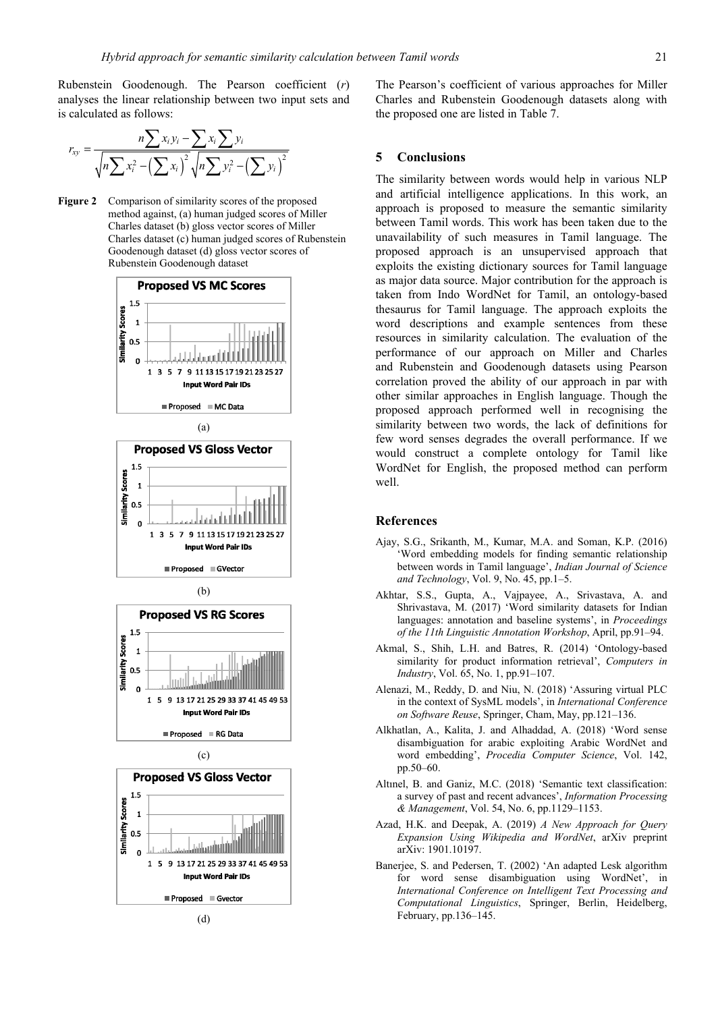Rubenstein Goodenough. The Pearson coefficient (*r*) analyses the linear relationship between two input sets and is calculated as follows:

$$
r_{xy} = \frac{n\sum x_i y_i - \sum x_i \sum y_i}{\sqrt{n\sum x_i^2 - (\sum x_i)^2} \sqrt{n\sum y_i^2 - (\sum y_i)^2}}
$$

**Figure 2** Comparison of similarity scores of the proposed method against, (a) human judged scores of Miller Charles dataset (b) gloss vector scores of Miller Charles dataset (c) human judged scores of Rubenstein Goodenough dataset (d) gloss vector scores of Rubenstein Goodenough dataset













The Pearson's coefficient of various approaches for Miller Charles and Rubenstein Goodenough datasets along with the proposed one are listed in Table 7.

## **5 Conclusions**

The similarity between words would help in various NLP and artificial intelligence applications. In this work, an approach is proposed to measure the semantic similarity between Tamil words. This work has been taken due to the unavailability of such measures in Tamil language. The proposed approach is an unsupervised approach that exploits the existing dictionary sources for Tamil language as major data source. Major contribution for the approach is taken from Indo WordNet for Tamil, an ontology-based thesaurus for Tamil language. The approach exploits the word descriptions and example sentences from these resources in similarity calculation. The evaluation of the performance of our approach on Miller and Charles and Rubenstein and Goodenough datasets using Pearson correlation proved the ability of our approach in par with other similar approaches in English language. Though the proposed approach performed well in recognising the similarity between two words, the lack of definitions for few word senses degrades the overall performance. If we would construct a complete ontology for Tamil like WordNet for English, the proposed method can perform well.

### **References**

- Ajay, S.G., Srikanth, M., Kumar, M.A. and Soman, K.P. (2016) 'Word embedding models for finding semantic relationship between words in Tamil language', *Indian Journal of Science and Technology*, Vol. 9, No. 45, pp.1–5.
- Akhtar, S.S., Gupta, A., Vajpayee, A., Srivastava, A. and Shrivastava, M. (2017) 'Word similarity datasets for Indian languages: annotation and baseline systems', in *Proceedings of the 11th Linguistic Annotation Workshop*, April, pp.91–94.
- Akmal, S., Shih, L.H. and Batres, R. (2014) 'Ontology-based similarity for product information retrieval', *Computers in Industry*, Vol. 65, No. 1, pp.91–107.
- Alenazi, M., Reddy, D. and Niu, N. (2018) 'Assuring virtual PLC in the context of SysML models', in *International Conference on Software Reuse*, Springer, Cham, May, pp.121–136.
- Alkhatlan, A., Kalita, J. and Alhaddad, A. (2018) 'Word sense disambiguation for arabic exploiting Arabic WordNet and word embedding', *Procedia Computer Science*, Vol. 142, pp.50–60.
- Altınel, B. and Ganiz, M.C. (2018) 'Semantic text classification: a survey of past and recent advances', *Information Processing & Management*, Vol. 54, No. 6, pp.1129–1153.
- Azad, H.K. and Deepak, A. (2019) *A New Approach for Query Expansion Using Wikipedia and WordNet*, arXiv preprint arXiv: 1901.10197.
- Banerjee, S. and Pedersen, T. (2002) 'An adapted Lesk algorithm for word sense disambiguation using WordNet', in *International Conference on Intelligent Text Processing and Computational Linguistics*, Springer, Berlin, Heidelberg, February, pp.136–145.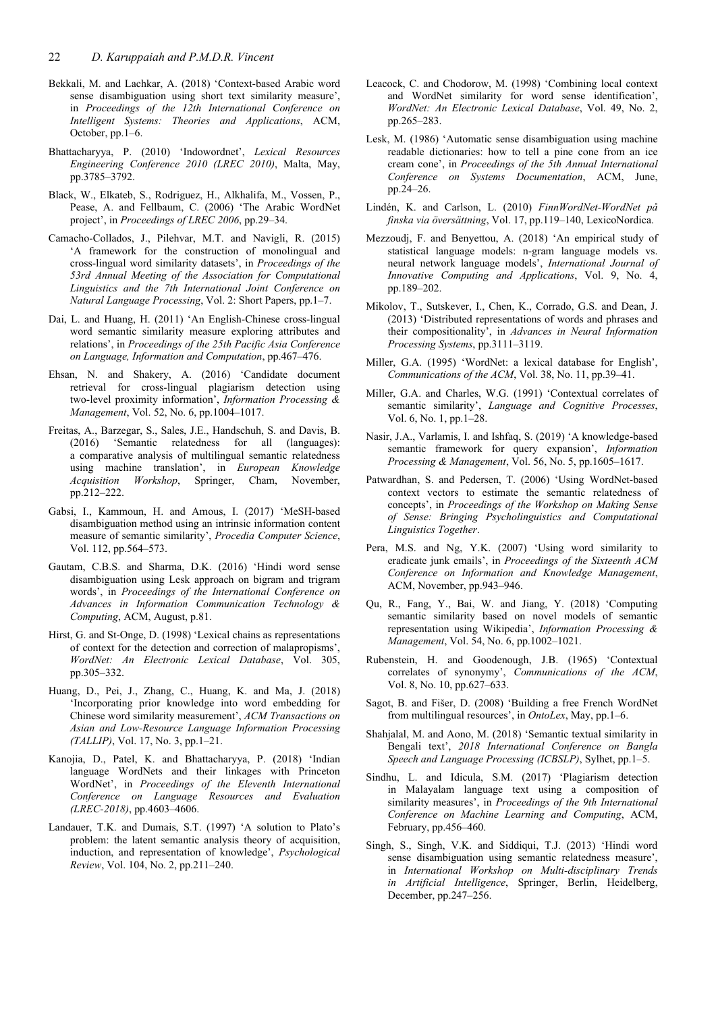- Bekkali, M. and Lachkar, A. (2018) 'Context-based Arabic word sense disambiguation using short text similarity measure', in *Proceedings of the 12th International Conference on Intelligent Systems: Theories and Applications*, ACM, October, pp.1–6.
- Bhattacharyya, P. (2010) 'Indowordnet', *Lexical Resources Engineering Conference 2010 (LREC 2010)*, Malta, May, pp.3785–3792.
- Black, W., Elkateb, S., Rodriguez, H., Alkhalifa, M., Vossen, P., Pease, A. and Fellbaum, C. (2006) 'The Arabic WordNet project', in *Proceedings of LREC 2006*, pp.29–34.
- Camacho-Collados, J., Pilehvar, M.T. and Navigli, R. (2015) 'A framework for the construction of monolingual and cross-lingual word similarity datasets', in *Proceedings of the 53rd Annual Meeting of the Association for Computational Linguistics and the 7th International Joint Conference on Natural Language Processing*, Vol. 2: Short Papers, pp.1–7.
- Dai, L. and Huang, H. (2011) 'An English-Chinese cross-lingual word semantic similarity measure exploring attributes and relations', in *Proceedings of the 25th Pacific Asia Conference on Language, Information and Computation*, pp.467–476.
- Ehsan, N. and Shakery, A. (2016) 'Candidate document retrieval for cross-lingual plagiarism detection using two-level proximity information', *Information Processing & Management*, Vol. 52, No. 6, pp.1004–1017.
- Freitas, A., Barzegar, S., Sales, J.E., Handschuh, S. and Davis, B. (2016) 'Semantic relatedness for all (languages): a comparative analysis of multilingual semantic relatedness using machine translation', in *European Knowledge Acquisition Workshop*, Springer, Cham, November, pp.212–222.
- Gabsi, I., Kammoun, H. and Amous, I. (2017) 'MeSH-based disambiguation method using an intrinsic information content measure of semantic similarity', *Procedia Computer Science*, Vol. 112, pp.564–573.
- Gautam, C.B.S. and Sharma, D.K. (2016) 'Hindi word sense disambiguation using Lesk approach on bigram and trigram words', in *Proceedings of the International Conference on Advances in Information Communication Technology & Computing*, ACM, August, p.81.
- Hirst, G. and St-Onge, D. (1998) 'Lexical chains as representations of context for the detection and correction of malapropisms', *WordNet: An Electronic Lexical Database*, Vol. 305, pp.305–332.
- Huang, D., Pei, J., Zhang, C., Huang, K. and Ma, J. (2018) 'Incorporating prior knowledge into word embedding for Chinese word similarity measurement', *ACM Transactions on Asian and Low-Resource Language Information Processing (TALLIP)*, Vol. 17, No. 3, pp.1–21.
- Kanojia, D., Patel, K. and Bhattacharyya, P. (2018) 'Indian language WordNets and their linkages with Princeton WordNet', in *Proceedings of the Eleventh International Conference on Language Resources and Evaluation (LREC-2018)*, pp.4603–4606.
- Landauer, T.K. and Dumais, S.T. (1997) 'A solution to Plato's problem: the latent semantic analysis theory of acquisition, induction, and representation of knowledge', *Psychological Review*, Vol. 104, No. 2, pp.211–240.
- Leacock, C. and Chodorow, M. (1998) 'Combining local context and WordNet similarity for word sense identification', *WordNet: An Electronic Lexical Database*, Vol. 49, No. 2, pp.265–283.
- Lesk, M. (1986) 'Automatic sense disambiguation using machine readable dictionaries: how to tell a pine cone from an ice cream cone', in *Proceedings of the 5th Annual International Conference on Systems Documentation*, ACM, June, pp.24–26.
- Lindén, K. and Carlson, L. (2010) *FinnWordNet-WordNet på finska via översättning*, Vol. 17, pp.119–140, LexicoNordica.
- Mezzoudj, F. and Benyettou, A. (2018) 'An empirical study of statistical language models: n-gram language models vs. neural network language models', *International Journal of Innovative Computing and Applications*, Vol. 9, No. 4, pp.189–202.
- Mikolov, T., Sutskever, I., Chen, K., Corrado, G.S. and Dean, J. (2013) 'Distributed representations of words and phrases and their compositionality', in *Advances in Neural Information Processing Systems*, pp.3111–3119.
- Miller, G.A. (1995) 'WordNet: a lexical database for English', *Communications of the ACM*, Vol. 38, No. 11, pp.39–41.
- Miller, G.A. and Charles, W.G. (1991) 'Contextual correlates of semantic similarity', *Language and Cognitive Processes*, Vol. 6, No. 1, pp.1–28.
- Nasir, J.A., Varlamis, I. and Ishfaq, S. (2019) 'A knowledge-based semantic framework for query expansion', *Information Processing & Management*, Vol. 56, No. 5, pp.1605–1617.
- Patwardhan, S. and Pedersen, T. (2006) 'Using WordNet-based context vectors to estimate the semantic relatedness of concepts', in *Proceedings of the Workshop on Making Sense of Sense: Bringing Psycholinguistics and Computational Linguistics Together*.
- Pera, M.S. and Ng, Y.K. (2007) 'Using word similarity to eradicate junk emails', in *Proceedings of the Sixteenth ACM Conference on Information and Knowledge Management*, ACM, November, pp.943–946.
- Qu, R., Fang, Y., Bai, W. and Jiang, Y. (2018) 'Computing semantic similarity based on novel models of semantic representation using Wikipedia', *Information Processing & Management*, Vol. 54, No. 6, pp.1002–1021.
- Rubenstein, H. and Goodenough, J.B. (1965) 'Contextual correlates of synonymy', *Communications of the ACM*, Vol. 8, No. 10, pp.627–633.
- Sagot, B. and Fišer, D. (2008) 'Building a free French WordNet from multilingual resources', in *OntoLex*, May, pp.1–6.
- Shahjalal, M. and Aono, M. (2018) 'Semantic textual similarity in Bengali text', *2018 International Conference on Bangla Speech and Language Processing (ICBSLP)*, Sylhet, pp.1–5.
- Sindhu, L. and Idicula, S.M. (2017) 'Plagiarism detection in Malayalam language text using a composition of similarity measures', in *Proceedings of the 9th International Conference on Machine Learning and Computing*, ACM, February, pp.456–460.
- Singh, S., Singh, V.K. and Siddiqui, T.J. (2013) 'Hindi word sense disambiguation using semantic relatedness measure', in *International Workshop on Multi-disciplinary Trends in Artificial Intelligence*, Springer, Berlin, Heidelberg, December, pp.247–256.